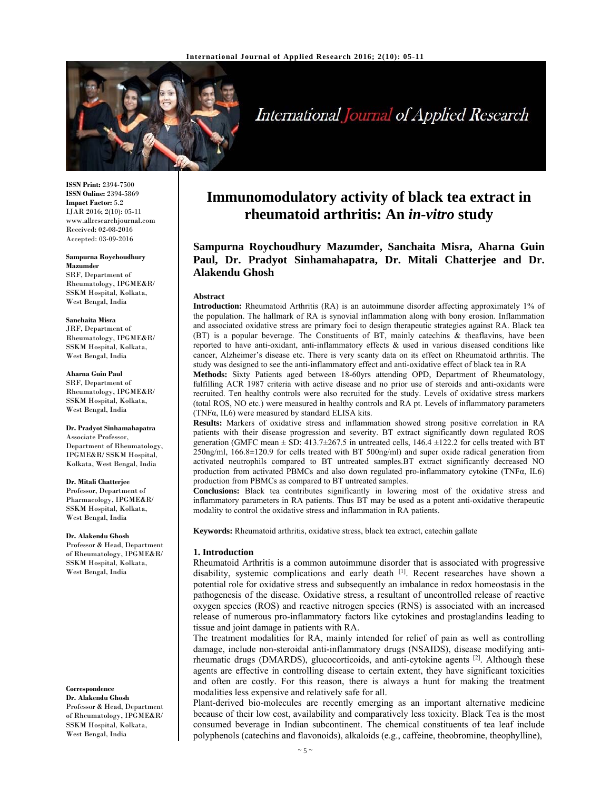

# International Journal of Applied Research

**ISSN Print:** 2394-7500 **ISSN Online:** 2394-5869 **Impact Factor:** 5.2 IJAR 2016; 2(10): 05-11 www.allresearchjournal.com Received: 02-08-2016 Accepted: 03-09-2016

#### **Sampurna Roychoudhury Mazumder**

SRF, Department of Rheumatology, IPGME&R/ SSKM Hospital, Kolkata, West Bengal, India

#### **Sanchaita Misra**

JRF, Department of Rheumatology, IPGME&R/ SSKM Hospital, Kolkata, West Bengal, India

#### **Aharna Guin Paul**

SRF, Department of Rheumatology, IPGME&R/ SSKM Hospital, Kolkata, West Bengal, India

#### **Dr. Pradyot Sinhamahapatra**

Associate Professor, Department of Rheumatology, IPGME&R/ SSKM Hospital, Kolkata, West Bengal, India

#### **Dr. Mitali Chatterjee**

Professor, Department of Pharmacology, IPGME&R/ SSKM Hospital, Kolkata, West Bengal, India

#### **Dr. Alakendu Ghosh**

Professor & Head, Department of Rheumatology,  $\text{IPGME\&R}/$ SSKM Hospital, Kolkata, West Bengal, India

#### **Correspondence**

**Dr. Alakendu Ghosh**  Professor & Head, Department of Rheumatology, IPGME&R/ SSKM Hospital, Kolkata, West Bengal, India

# **Immunomodulatory activity of black tea extract in rheumatoid arthritis: An** *in-vitro* **study**

**Sampurna Roychoudhury Mazumder, Sanchaita Misra, Aharna Guin Paul, Dr. Pradyot Sinhamahapatra, Dr. Mitali Chatterjee and Dr. Alakendu Ghosh** 

#### **Abstract**

**Introduction:** Rheumatoid Arthritis (RA) is an autoimmune disorder affecting approximately 1% of the population. The hallmark of RA is synovial inflammation along with bony erosion. Inflammation and associated oxidative stress are primary foci to design therapeutic strategies against RA. Black tea (BT) is a popular beverage. The Constituents of BT, mainly catechins & theaflavins, have been reported to have anti-oxidant, anti-inflammatory effects & used in various diseased conditions like cancer, Alzheimer's disease etc. There is very scanty data on its effect on Rheumatoid arthritis. The study was designed to see the anti-inflammatory effect and anti-oxidative effect of black tea in RA

**Methods:** Sixty Patients aged between 18-60yrs attending OPD, Department of Rheumatology, fulfilling ACR 1987 criteria with active disease and no prior use of steroids and anti-oxidants were recruited. Ten healthy controls were also recruited for the study. Levels of oxidative stress markers (total ROS, NO etc.) were measured in healthy controls and RA pt. Levels of inflammatory parameters (TNFα, IL6) were measured by standard ELISA kits.

**Results:** Markers of oxidative stress and inflammation showed strong positive correlation in RA patients with their disease progression and severity. BT extract significantly down regulated ROS generation (GMFC mean  $\pm$  SD: 413.7 $\pm$ 267.5 in untreated cells, 146.4  $\pm$ 122.2 for cells treated with BT 250ng/ml, 166.8±120.9 for cells treated with BT 500ng/ml) and super oxide radical generation from activated neutrophils compared to BT untreated samples.BT extract significantly decreased NO production from activated PBMCs and also down regulated pro-inflammatory cytokine (TNF $\alpha$ , IL6) production from PBMCs as compared to BT untreated samples.

**Conclusions:** Black tea contributes significantly in lowering most of the oxidative stress and inflammatory parameters in RA patients. Thus BT may be used as a potent anti-oxidative therapeutic modality to control the oxidative stress and inflammation in RA patients.

**Keywords:** Rheumatoid arthritis, oxidative stress, black tea extract, catechin gallate

#### **1. Introduction**

Rheumatoid Arthritis is a common autoimmune disorder that is associated with progressive disability, systemic complications and early death [1]. Recent researches have shown a potential role for oxidative stress and subsequently an imbalance in redox homeostasis in the pathogenesis of the disease. Oxidative stress, a resultant of uncontrolled release of reactive oxygen species (ROS) and reactive nitrogen species (RNS) is associated with an increased release of numerous pro-inflammatory factors like cytokines and prostaglandins leading to tissue and joint damage in patients with RA.

The treatment modalities for RA, mainly intended for relief of pain as well as controlling damage, include non-steroidal anti-inflammatory drugs (NSAIDS), disease modifying antirheumatic drugs (DMARDS), glucocorticoids, and anti-cytokine agents  $[2]$ . Although these agents are effective in controlling disease to certain extent, they have significant toxicities and often are costly. For this reason, there is always a hunt for making the treatment modalities less expensive and relatively safe for all.

Plant-derived bio-molecules are recently emerging as an important alternative medicine because of their low cost, availability and comparatively less toxicity. Black Tea is the most consumed beverage in Indian subcontinent. The chemical constituents of tea leaf include polyphenols (catechins and flavonoids), alkaloids (e.g., caffeine, theobromine, theophylline),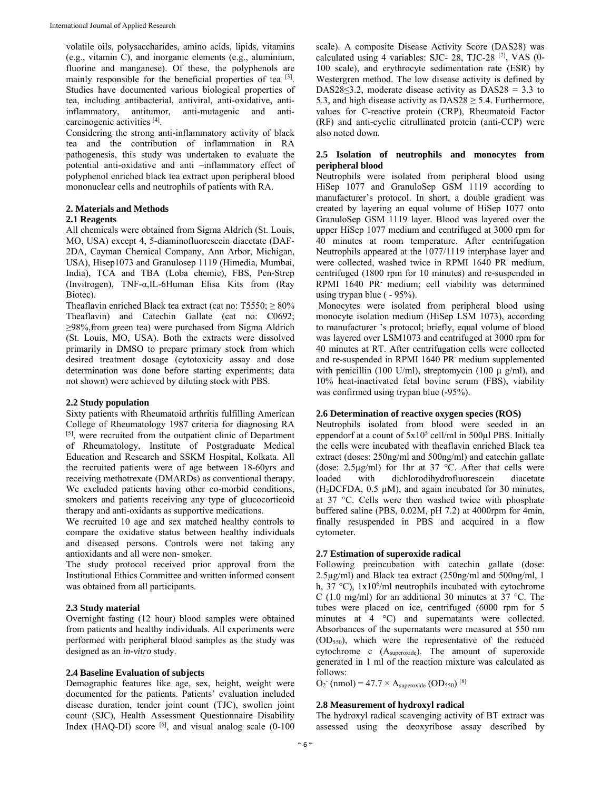volatile oils, polysaccharides, amino acids, lipids, vitamins (e.g., vitamin C), and inorganic elements (e.g., aluminium, fluorine and manganese). Of these, the polyphenols are mainly responsible for the beneficial properties of tea  $[3]$ . Studies have documented various biological properties of tea, including antibacterial, antiviral, anti-oxidative, antiinflammatory, antitumor, anti-mutagenic and anticarcinogenic activities [4].

Considering the strong anti-inflammatory activity of black tea and the contribution of inflammation in RA pathogenesis, this study was undertaken to evaluate the potential anti-oxidative and anti –inflammatory effect of polyphenol enriched black tea extract upon peripheral blood mononuclear cells and neutrophils of patients with RA.

# **2. Materials and Methods**

#### **2.1 Reagents**

All chemicals were obtained from Sigma Aldrich (St. Louis, MO, USA) except 4, 5-diaminofluorescein diacetate (DAF-2DA, Cayman Chemical Company, Ann Arbor, Michigan, USA), Hisep1073 and Granulosep 1119 (Himedia, Mumbai, India), TCA and TBA (Loba chemie), FBS, Pen-Strep (Invitrogen), TNF-α,IL-6Human Elisa Kits from (Ray Biotec).

Theaflavin enriched Black tea extract (cat no:  $T5550$ ;  $\geq 80\%$ Theaflavin) and Catechin Gallate (cat no: C0692; ≥98%,from green tea) were purchased from Sigma Aldrich (St. Louis, MO, USA). Both the extracts were dissolved primarily in DMSO to prepare primary stock from which desired treatment dosage (cytotoxicity assay and dose determination was done before starting experiments; data not shown) were achieved by diluting stock with PBS.

### **2.2 Study population**

Sixty patients with Rheumatoid arthritis fulfilling American College of Rheumatology 1987 criteria for diagnosing RA [5], were recruited from the outpatient clinic of Department of Rheumatology, Institute of Postgraduate Medical Education and Research and SSKM Hospital, Kolkata. All the recruited patients were of age between 18-60yrs and receiving methotrexate (DMARDs) as conventional therapy. We excluded patients having other co-morbid conditions, smokers and patients receiving any type of glucocorticoid therapy and anti-oxidants as supportive medications.

We recruited 10 age and sex matched healthy controls to compare the oxidative status between healthy individuals and diseased persons. Controls were not taking any antioxidants and all were non- smoker.

The study protocol received prior approval from the Institutional Ethics Committee and written informed consent was obtained from all participants.

#### **2.3 Study material**

Overnight fasting (12 hour) blood samples were obtained from patients and healthy individuals. All experiments were performed with peripheral blood samples as the study was designed as an *in-vitro* study.

#### **2.4 Baseline Evaluation of subjects**

Demographic features like age, sex, height, weight were documented for the patients. Patients' evaluation included disease duration, tender joint count (TJC), swollen joint count (SJC), Health Assessment Questionnaire–Disability Index (HAQ-DI) score  $\left[6\right]$ , and visual analog scale (0-100)

scale). A composite Disease Activity Score (DAS28) was calculated using 4 variables: SJC- 28, TJC-28 [7], VAS (0- 100 scale), and erythrocyte sedimentation rate (ESR) by Westergren method. The low disease activity is defined by DAS28≤3.2, moderate disease activity as DAS28 = 3.3 to 5.3, and high disease activity as  $DAS28 \geq 5.4$ . Furthermore, values for C-reactive protein (CRP), Rheumatoid Factor (RF) and anti-cyclic citrullinated protein (anti-CCP) were also noted down.

# **2.5 Isolation of neutrophils and monocytes from peripheral blood**

Neutrophils were isolated from peripheral blood using HiSep 1077 and GranuloSep GSM 1119 according to manufacturer's protocol. In short, a double gradient was created by layering an equal volume of HiSep 1077 onto GranuloSep GSM 1119 layer. Blood was layered over the upper HiSep 1077 medium and centrifuged at 3000 rpm for 40 minutes at room temperature. After centrifugation Neutrophils appeared at the 1077/1119 interphase layer and were collected, washed twice in RPMI 1640 PR medium, centrifuged (1800 rpm for 10 minutes) and re-suspended in RPMI 1640 PR<sup>-</sup> medium; cell viability was determined using trypan blue ( - 95%).

 Monocytes were isolated from peripheral blood using monocyte isolation medium (HiSep LSM 1073), according to manufacturer 's protocol; briefly, equal volume of blood was layered over LSM1073 and centrifuged at 3000 rpm for 40 minutes at RT. After centrifugation cells were collected and re-suspended in RPMI 1640 PR- medium supplemented with penicillin (100 U/ml), streptomycin (100  $\mu$  g/ml), and 10% heat-inactivated fetal bovine serum (FBS), viability was confirmed using trypan blue (-95%).

#### **2.6 Determination of reactive oxygen species (ROS)**

Neutrophils isolated from blood were seeded in an eppendorf at a count of  $5x10^5$  cell/ml in  $500\mu$ l PBS. Initially the cells were incubated with theaflavin enriched Black tea extract (doses: 250ng/ml and 500ng/ml) and catechin gallate (dose:  $2.5\mu g/ml$ ) for 1hr at 37 °C. After that cells were loaded with dichlorodihydrofluorescein diacetate (H<sub>2</sub>DCFDA,  $0.5 \mu M$ ), and again incubated for 30 minutes, at 37 °C. Cells were then washed twice with phosphate buffered saline (PBS, 0.02M, pH 7.2) at 4000rpm for 4min, finally resuspended in PBS and acquired in a flow cytometer*.* 

# **2.7 Estimation of superoxide radical**

Following preincubation with catechin gallate (dose: 2.5µg/ml) and Black tea extract (250ng/ml and 500ng/ml, 1 h, 37 °C),  $1x10^6$ /ml neutrophils incubated with cytochrome C (1.0 mg/ml) for an additional 30 minutes at 37 °C. The tubes were placed on ice, centrifuged (6000 rpm for 5 minutes at 4 °C) and supernatants were collected. Absorbances of the supernatants were measured at 550 nm (OD550), which were the representative of the reduced cytochrome c (Asuperoxide). The amount of superoxide generated in 1 ml of the reaction mixture was calculated as follows:

 $O_2$ <sup>-</sup> (nmol) = 47.7 × A<sub>superoxide</sub> (OD<sub>550</sub>)<sup>[8]</sup>

#### **2.8 Measurement of hydroxyl radical**

The hydroxyl radical scavenging activity of BT extract was assessed using the deoxyribose assay described by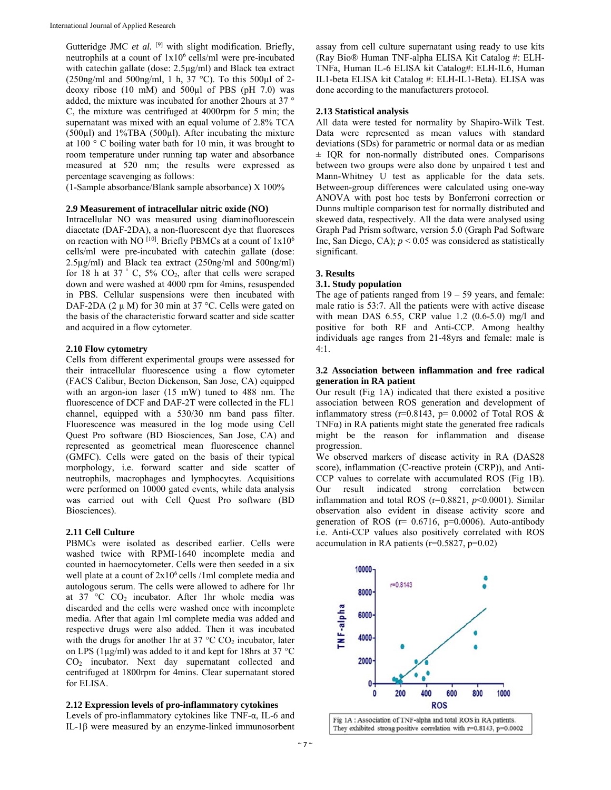Gutteridge JMC *et al.* <sup>[9]</sup> with slight modification. Briefly, neutrophils at a count of  $1x10^6$  cells/ml were pre-incubated with catechin gallate (dose:  $2.5\mu\text{g/ml}$ ) and Black tea extract  $(250\text{ng/ml}$  and  $500\text{ng/ml}$ , 1 h,  $37\text{ °C}$ ). To this  $500\text{ul}$  of 2deoxy ribose  $(10 \text{ mM})$  and  $500 \mu l$  of PBS  $(pH 7.0)$  was added, the mixture was incubated for another 2hours at 37 ° C, the mixture was centrifuged at 4000rpm for 5 min; the supernatant was mixed with an equal volume of 2.8% TCA (500µl) and 1%TBA (500µl). After incubating the mixture at 100 ° C boiling water bath for 10 min, it was brought to room temperature under running tap water and absorbance measured at 520 nm; the results were expressed as percentage scavenging as follows:

(1-Sample absorbance/Blank sample absorbance) X 100%

#### **2.9 Measurement of intracellular nitric oxide (NO)**

Intracellular NO was measured using diaminofluorescein diacetate (DAF-2DA), a non-fluorescent dye that fluoresces on reaction with NO [10]. Briefly PBMCs at a count of  $1x10^6$ cells/ml were pre-incubated with catechin gallate (dose: 2.5µg/ml) and Black tea extract (250ng/ml and 500ng/ml) for 18 h at 37  $\degree$  C, 5% CO<sub>2</sub>, after that cells were scraped down and were washed at 4000 rpm for 4mins, resuspended in PBS. Cellular suspensions were then incubated with DAF-2DA (2 μ M) for 30 min at 37 °C. Cells were gated on the basis of the characteristic forward scatter and side scatter and acquired in a flow cytometer.

#### **2.10 Flow cytometry**

Cells from different experimental groups were assessed for their intracellular fluorescence using a flow cytometer (FACS Calibur, Becton Dickenson, San Jose, CA) equipped with an argon-ion laser (15 mW) tuned to 488 nm. The fluorescence of DCF and DAF-2T were collected in the FL1 channel, equipped with a 530/30 nm band pass filter. Fluorescence was measured in the log mode using Cell Quest Pro software (BD Biosciences, San Jose, CA) and represented as geometrical mean fluorescence channel (GMFC). Cells were gated on the basis of their typical morphology, i.e. forward scatter and side scatter of neutrophils, macrophages and lymphocytes. Acquisitions were performed on 10000 gated events, while data analysis was carried out with Cell Quest Pro software (BD Biosciences).

# **2.11 Cell Culture**

PBMCs were isolated as described earlier. Cells were washed twice with RPMI-1640 incomplete media and counted in haemocytometer. Cells were then seeded in a six well plate at a count of  $2x10^6$  cells /1ml complete media and autologous serum. The cells were allowed to adhere for 1hr at 37 °C CO2 incubator. After 1hr whole media was discarded and the cells were washed once with incomplete media. After that again 1ml complete media was added and respective drugs were also added. Then it was incubated with the drugs for another 1hr at  $37 \text{ °C CO}_2$  incubator, later on LPS (1µg/ml) was added to it and kept for 18hrs at 37 °C CO2 incubator. Next day supernatant collected and centrifuged at 1800rpm for 4mins. Clear supernatant stored for ELISA.

#### **2.12 Expression levels of pro-inflammatory cytokines**

Levels of pro-inflammatory cytokines like TNF-α, IL-6 and IL-1β were measured by an enzyme-linked immunosorbent assay from cell culture supernatant using ready to use kits (Ray Bio® Human TNF-alpha ELISA Kit Catalog #: ELH-TNFa, Human IL-6 ELISA kit Catalog#: ELH-IL6, Human IL1-beta ELISA kit Catalog #: ELH-IL1-Beta). ELISA was done according to the manufacturers protocol.

#### **2.13 Statistical analysis**

All data were tested for normality by Shapiro-Wilk Test. Data were represented as mean values with standard deviations (SDs) for parametric or normal data or as median ± IQR for non-normally distributed ones. Comparisons between two groups were also done by unpaired t test and Mann-Whitney U test as applicable for the data sets. Between-group differences were calculated using one-way ANOVA with post hoc tests by Bonferroni correction or Dunns multiple comparison test for normally distributed and skewed data, respectively. All the data were analysed using Graph Pad Prism software, version 5.0 (Graph Pad Software Inc, San Diego, CA); *p* < 0.05 was considered as statistically significant.

#### **3. Results**

#### **3.1. Study population**

The age of patients ranged from  $19 - 59$  years, and female: male ratio is 53:7. All the patients were with active disease with mean DAS 6.55, CRP value 1.2 (0.6-5.0) mg/l and positive for both RF and Anti-CCP. Among healthy individuals age ranges from 21-48yrs and female: male is  $4 \cdot 1$ 

#### **3.2 Association between inflammation and free radical generation in RA patient**

Our result (Fig 1A) indicated that there existed a positive association between ROS generation and development of inflammatory stress (r=0.8143, p= 0.0002 of Total ROS  $\&$ TNF $\alpha$ ) in RA patients might state the generated free radicals might be the reason for inflammation and disease progression.

We observed markers of disease activity in RA (DAS28 score), inflammation (C-reactive protein (CRP)), and Anti-CCP values to correlate with accumulated ROS (Fig 1B). Our result indicated strong correlation between inflammation and total ROS (r=0.8821, *p*<0.0001). Similar observation also evident in disease activity score and generation of ROS ( $r= 0.6716$ ,  $p=0.0006$ ). Auto-antibody i.e. Anti-CCP values also positively correlated with ROS accumulation in RA patients (r=0.5827, p=0.02)

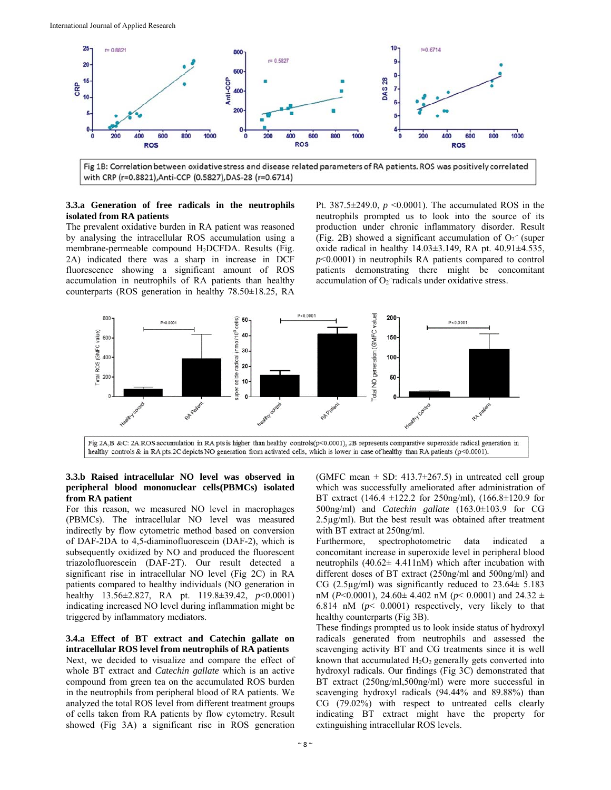

**3.3.a Generation of free radicals in the neutrophils isolated from RA patients** 

The prevalent oxidative burden in RA patient was reasoned by analysing the intracellular ROS accumulation using a membrane-permeable compound H2DCFDA. Results (Fig. 2A) indicated there was a sharp in increase in DCF fluorescence showing a significant amount of ROS accumulation in neutrophils of RA patients than healthy counterparts (ROS generation in healthy 78.50±18.25, RA

Pt.  $387.5 \pm 249.0$ ,  $p \le 0.0001$ ). The accumulated ROS in the neutrophils prompted us to look into the source of its production under chronic inflammatory disorder. Result (Fig. 2B) showed a significant accumulation of  $O_2$  (super oxide radical in healthy  $14.03 \pm 3.149$ , RA pt.  $40.91 \pm 4.535$ , *p*<0.0001) in neutrophils RA patients compared to control patients demonstrating there might be concomitant accumulation of  $O_2$  radicals under oxidative stress.



Fig 2A,B &C: 2A ROS accumulation in RA pts is higher than healthy controls( $p$ <0.0001), 2B represents comparative superoxide radical generation in healthy controls & in RA pts.2C depicts NO generation from activated cells, which is lower in case of healthy than RA patients (p<0.0001).

#### **3.3.b Raised intracellular NO level was observed in peripheral blood mononuclear cells(PBMCs) isolated from RA patient**

For this reason, we measured NO level in macrophages (PBMCs). The intracellular NO level was measured indirectly by flow cytometric method based on conversion of DAF-2DA to 4,5-diaminofluorescein (DAF-2), which is subsequently oxidized by NO and produced the fluorescent triazolofluorescein (DAF-2T). Our result detected a significant rise in intracellular NO level (Fig 2C) in RA patients compared to healthy individuals (NO generation in healthy 13.56±2.827, RA pt. 119.8±39.42, *p*<0.0001) indicating increased NO level during inflammation might be triggered by inflammatory mediators.

#### **3.4.a Effect of BT extract and Catechin gallate on intracellular ROS level from neutrophils of RA patients**

Next, we decided to visualize and compare the effect of whole BT extract and *Catechin gallate* which is an active compound from green tea on the accumulated ROS burden in the neutrophils from peripheral blood of RA patients. We analyzed the total ROS level from different treatment groups of cells taken from RA patients by flow cytometry. Result showed (Fig 3A) a significant rise in ROS generation

(GMFC mean  $\pm$  SD: 413.7 $\pm$ 267.5) in untreated cell group which was successfully ameliorated after administration of BT extract (146.4 ±122.2 for 250ng/ml), (166.8±120.9 for 500ng/ml) and *Catechin gallate* (163.0±103.9 for CG 2.5µg/ml). But the best result was obtained after treatment with BT extract at 250ng/ml.

Furthermore, spectrophotometric data indicated a concomitant increase in superoxide level in peripheral blood neutrophils  $(40.62 \pm 4.411 \text{ nM})$  which after incubation with different doses of BT extract (250ng/ml and 500ng/ml) and CG (2.5 $\mu$ g/ml) was significantly reduced to 23.64 $\pm$  5.183 nM (*P*<0.0001), 24.60± 4.402 nM (*p*< 0.0001) and 24.32 ± 6.814 nM (*p*< 0.0001) respectively, very likely to that healthy counterparts (Fig 3B).

These findings prompted us to look inside status of hydroxyl radicals generated from neutrophils and assessed the scavenging activity BT and CG treatments since it is well known that accumulated  $H_2O_2$  generally gets converted into hydroxyl radicals. Our findings (Fig 3C) demonstrated that BT extract (250ng/ml,500ng/ml) were more successful in scavenging hydroxyl radicals (94.44% and 89.88%) than CG (79.02%) with respect to untreated cells clearly indicating BT extract might have the property for extinguishing intracellular ROS levels.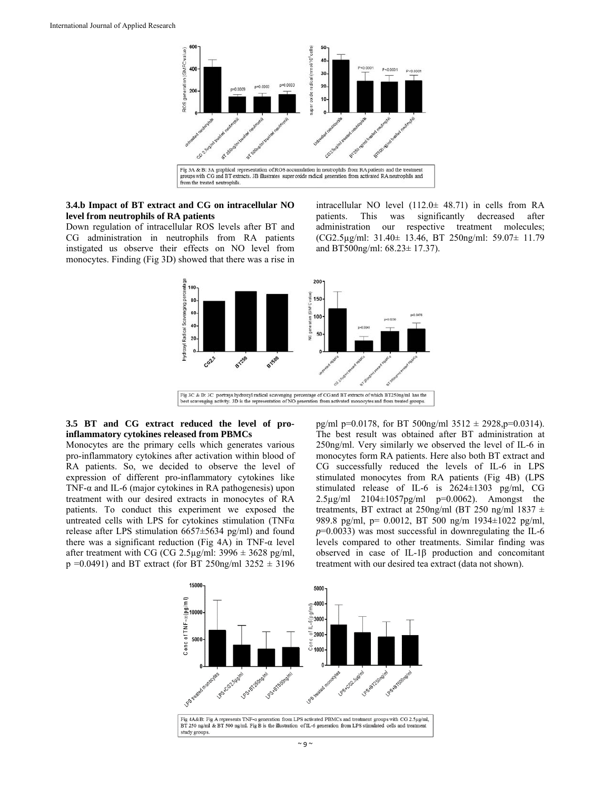

# **3.4.b Impact of BT extract and CG on intracellular NO level from neutrophils of RA patients**

Down regulation of intracellular ROS levels after BT and CG administration in neutrophils from RA patients instigated us observe their effects on NO level from monocytes. Finding (Fig 3D) showed that there was a rise in intracellular NO level (112.0± 48.71) in cells from RA patients. This was significantly decreased after administration our respective treatment molecules; (CG2.5µg/ml: 31.40± 13.46, BT 250ng/ml: 59.07± 11.79 and BT500ng/ml: 68.23± 17.37).



# **3.5 BT and CG extract reduced the level of proinflammatory cytokines released from PBMCs**

Monocytes are the primary cells which generates various pro-inflammatory cytokines after activation within blood of RA patients. So, we decided to observe the level of expression of different pro-inflammatory cytokines like TNF-α and IL-6 (major cytokines in RA pathogenesis) upon treatment with our desired extracts in monocytes of RA patients. To conduct this experiment we exposed the untreated cells with LPS for cytokines stimulation (TNFα release after LPS stimulation 6657±5634 pg/ml) and found there was a significant reduction (Fig 4A) in TNF- $\alpha$  level after treatment with CG (CG 2.5 $\mu$ g/ml: 3996  $\pm$  3628 pg/ml,  $p = 0.0491$ ) and BT extract (for BT 250ng/ml 3252  $\pm$  3196

pg/ml p=0.0178, for BT 500ng/ml  $3512 \pm 2928$ , p=0.0314). The best result was obtained after BT administration at 250ng/ml. Very similarly we observed the level of IL-6 in monocytes form RA patients. Here also both BT extract and CG successfully reduced the levels of IL-6 in LPS stimulated monocytes from RA patients (Fig 4B) (LPS stimulated release of IL-6 is 2624±1303 pg/ml, CG 2.5µg/ml 2104±1057pg/ml p=0.0062). Amongst the treatments, BT extract at 250ng/ml (BT 250 ng/ml 1837 ± 989.8 pg/ml, p= 0.0012, BT 500 ng/m 1934±1022 pg/ml, *p*=0.0033) was most successful in downregulating the IL-6 levels compared to other treatments. Similar finding was observed in case of IL-1β production and concomitant treatment with our desired tea extract (data not shown).

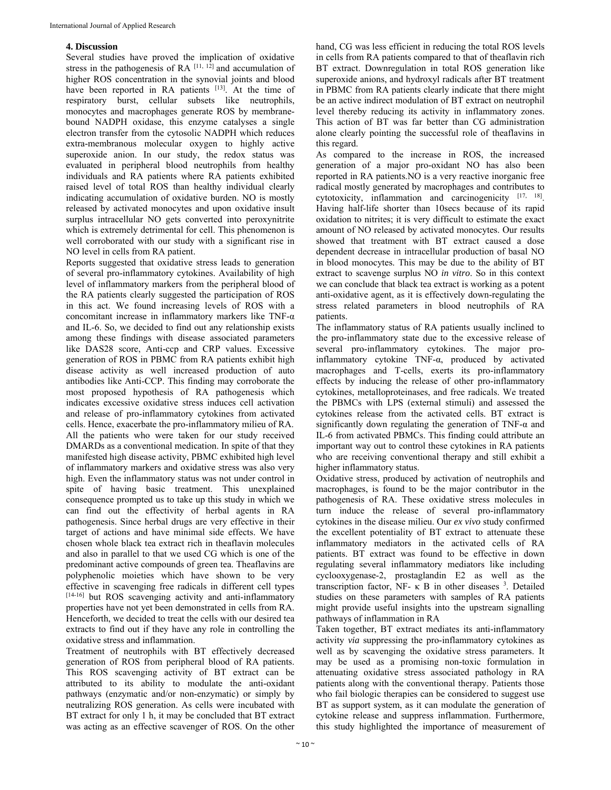# **4. Discussion**

Several studies have proved the implication of oxidative stress in the pathogenesis of RA  $[11, 12]$  and accumulation of higher ROS concentration in the synovial joints and blood have been reported in RA patients [13]. At the time of respiratory burst, cellular subsets like neutrophils, monocytes and macrophages generate ROS by membranebound NADPH oxidase, this enzyme catalyses a single electron transfer from the cytosolic NADPH which reduces extra-membranous molecular oxygen to highly active superoxide anion. In our study, the redox status was evaluated in peripheral blood neutrophils from healthy individuals and RA patients where RA patients exhibited raised level of total ROS than healthy individual clearly indicating accumulation of oxidative burden. NO is mostly released by activated monocytes and upon oxidative insult surplus intracellular NO gets converted into peroxynitrite which is extremely detrimental for cell. This phenomenon is well corroborated with our study with a significant rise in NO level in cells from RA patient.

Reports suggested that oxidative stress leads to generation of several pro-inflammatory cytokines. Availability of high level of inflammatory markers from the peripheral blood of the RA patients clearly suggested the participation of ROS in this act. We found increasing levels of ROS with a concomitant increase in inflammatory markers like TNF-α and IL-6. So, we decided to find out any relationship exists among these findings with disease associated parameters like DAS28 score, Anti-ccp and CRP values. Excessive generation of ROS in PBMC from RA patients exhibit high disease activity as well increased production of auto antibodies like Anti-CCP. This finding may corroborate the most proposed hypothesis of RA pathogenesis which indicates excessive oxidative stress induces cell activation and release of pro-inflammatory cytokines from activated cells. Hence, exacerbate the pro-inflammatory milieu of RA. All the patients who were taken for our study received DMARDs as a conventional medication. In spite of that they manifested high disease activity, PBMC exhibited high level of inflammatory markers and oxidative stress was also very high. Even the inflammatory status was not under control in spite of having basic treatment. This unexplained consequence prompted us to take up this study in which we can find out the effectivity of herbal agents in RA pathogenesis. Since herbal drugs are very effective in their target of actions and have minimal side effects. We have chosen whole black tea extract rich in theaflavin molecules and also in parallel to that we used CG which is one of the predominant active compounds of green tea. Theaflavins are polyphenolic moieties which have shown to be very effective in scavenging free radicals in different cell types [14-16] but ROS scavenging activity and anti-inflammatory properties have not yet been demonstrated in cells from RA. Henceforth, we decided to treat the cells with our desired tea extracts to find out if they have any role in controlling the oxidative stress and inflammation.

Treatment of neutrophils with BT effectively decreased generation of ROS from peripheral blood of RA patients. This ROS scavenging activity of BT extract can be attributed to its ability to modulate the anti-oxidant pathways (enzymatic and/or non-enzymatic) or simply by neutralizing ROS generation. As cells were incubated with BT extract for only 1 h, it may be concluded that BT extract was acting as an effective scavenger of ROS. On the other

hand, CG was less efficient in reducing the total ROS levels in cells from RA patients compared to that of theaflavin rich BT extract. Downregulation in total ROS generation like superoxide anions, and hydroxyl radicals after BT treatment in PBMC from RA patients clearly indicate that there might be an active indirect modulation of BT extract on neutrophil level thereby reducing its activity in inflammatory zones. This action of BT was far better than CG administration alone clearly pointing the successful role of theaflavins in this regard.

As compared to the increase in ROS, the increased generation of a major pro-oxidant NO has also been reported in RA patients.NO is a very reactive inorganic free radical mostly generated by macrophages and contributes to cytotoxicity, inflammation and carcinogenicity [17, 18]. Having half-life shorter than 10secs because of its rapid oxidation to nitrites; it is very difficult to estimate the exact amount of NO released by activated monocytes. Our results showed that treatment with BT extract caused a dose dependent decrease in intracellular production of basal NO in blood monocytes. This may be due to the ability of BT extract to scavenge surplus NO *in vitro*. So in this context we can conclude that black tea extract is working as a potent anti-oxidative agent, as it is effectively down-regulating the stress related parameters in blood neutrophils of RA patients.

The inflammatory status of RA patients usually inclined to the pro-inflammatory state due to the excessive release of several pro-inflammatory cytokines. The major proinflammatory cytokine TNF-α, produced by activated macrophages and T-cells, exerts its pro-inflammatory effects by inducing the release of other pro-inflammatory cytokines, metalloproteinases, and free radicals. We treated the PBMCs with LPS (external stimuli) and assessed the cytokines release from the activated cells. BT extract is significantly down regulating the generation of TNF- $\alpha$  and IL-6 from activated PBMCs. This finding could attribute an important way out to control these cytokines in RA patients who are receiving conventional therapy and still exhibit a higher inflammatory status.

Oxidative stress, produced by activation of neutrophils and macrophages, is found to be the major contributor in the pathogenesis of RA. These oxidative stress molecules in turn induce the release of several pro-inflammatory cytokines in the disease milieu. Our *ex vivo* study confirmed the excellent potentiality of BT extract to attenuate these inflammatory mediators in the activated cells of RA patients. BT extract was found to be effective in down regulating several inflammatory mediators like including cyclooxygenase-2, prostaglandin E2 as well as the transcription factor, NF- κ B in other diseases  $3$ . Detailed studies on these parameters with samples of RA patients might provide useful insights into the upstream signalling pathways of inflammation in RA

Taken together, BT extract mediates its anti-inflammatory activity *via* suppressing the pro-inflammatory cytokines as well as by scavenging the oxidative stress parameters. It may be used as a promising non-toxic formulation in attenuating oxidative stress associated pathology in RA patients along with the conventional therapy. Patients those who fail biologic therapies can be considered to suggest use BT as support system, as it can modulate the generation of cytokine release and suppress inflammation. Furthermore, this study highlighted the importance of measurement of